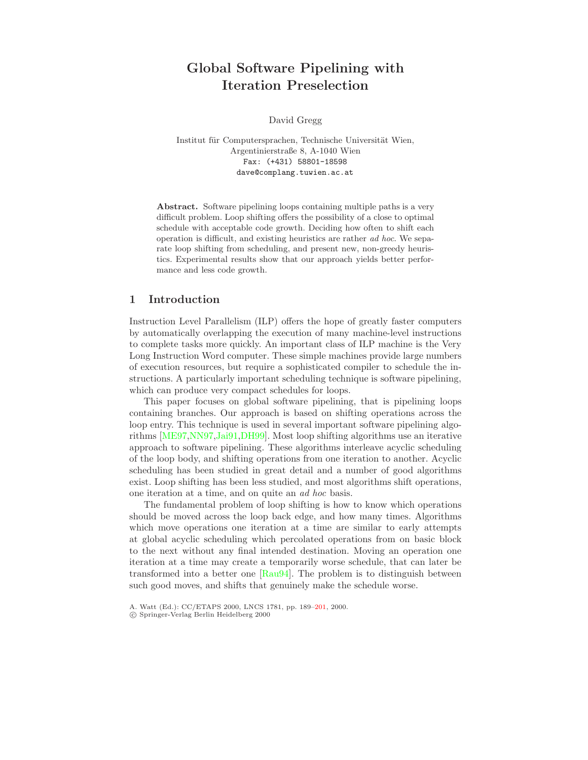# <span id="page-0-0"></span>**Global Software Pipelining with Iteration Preselection**

David Gregg

Institut für Computersprachen, Technische Universität Wien, Argentinierstraße 8, A-1040 Wien Fax: (+431) 58801-18598 dave@complang.tuwien.ac.at

Abstract. Software pipelining loops containing multiple paths is a very difficult problem. Loop shifting offers the possibility of a close to optimal schedule with acceptable code growth. Deciding how often to shift each operation is difficult, and existing heuristics are rather *ad hoc*. We separate loop shifting from scheduling, and present new, non-greedy heuristics. Experimental results show that our approach yields better performance and less code growth.

#### **1 Introduction**

Instruction Level Parallelism (ILP) offers the hope of greatly faster computers by automatically overlapping the execution of many machine-level instructions to complete tasks more quickly. An important class of ILP machine is the Very Long Instruction Word computer. These simple machines provide large numbers of execution resources, but require a sophisticated compiler to schedule the instructions. A particularly important scheduling technique is software pipelining, which can produce very compact schedules for loops.

This paper focuses on global software pipelining, that is pipelining loops containing branches. Our approach is based on shifting operations across the loop entry. This technique is used in several important software pipelining algorithms [\[ME97](#page-12-0)[,NN97](#page-12-1)[,Jai91,](#page-12-2)[DH99\]](#page-12-3). Most loop shifting algorithms use an iterative approach to software pipelining. These algorithms interleave acyclic scheduling of the loop body, and shifting operations from one iteration to another. Acyclic scheduling has been studied in great detail and a number of good algorithms exist. Loop shifting has been less studied, and most algorithms shift operations, one iteration at a time, and on quite an *ad hoc* basis.

The fundamental problem of loop shifting is how to know which operations should be moved across the loop back edge, and how many times. Algorithms which move operations one iteration at a time are similar to early attempts at global acyclic scheduling which percolated operations from on basic block to the next without any final intended destination. Moving an operation one iteration at a time may create a temporarily worse schedule, that can later be transformed into a better one [\[Rau94\]](#page-12-4). The problem is to distinguish between such good moves, and shifts that genuinely make the schedule worse.

A. Watt (Ed.): CC/ETAPS 2000, LNCS 1781, pp. 189[–201,](#page-12-5) 2000.

c Springer-Verlag Berlin Heidelberg 2000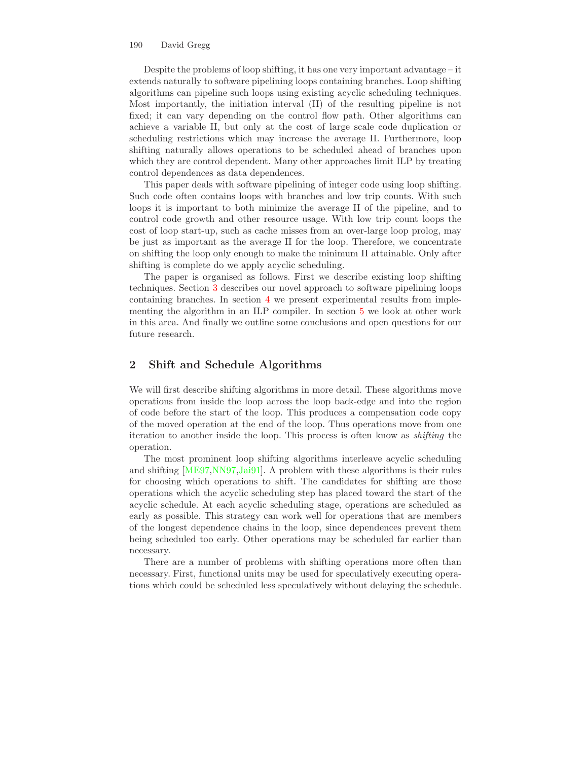<span id="page-1-0"></span>Despite the problems of loop shifting, it has one very important advantage – it extends naturally to software pipelining loops containing branches. Loop shifting algorithms can pipeline such loops using existing acyclic scheduling techniques. Most importantly, the initiation interval (II) of the resulting pipeline is not fixed; it can vary depending on the control flow path. Other algorithms can achieve a variable II, but only at the cost of large scale code duplication or scheduling restrictions which may increase the average II. Furthermore, loop shifting naturally allows operations to be scheduled ahead of branches upon which they are control dependent. Many other approaches limit ILP by treating control dependences as data dependences.

This paper deals with software pipelining of integer code using loop shifting. Such code often contains loops with branches and low trip counts. With such loops it is important to both minimize the average II of the pipeline, and to control code growth and other resource usage. With low trip count loops the cost of loop start-up, such as cache misses from an over-large loop prolog, may be just as important as the average II for the loop. Therefore, we concentrate on shifting the loop only enough to make the minimum II attainable. Only after shifting is complete do we apply acyclic scheduling.

The paper is organised as follows. First we describe existing loop shifting techniques. Section [3](#page-2-0) describes our novel approach to software pipelining loops containing branches. In section [4](#page-8-0) we present experimental results from implementing the algorithm in an ILP compiler. In section [5](#page-10-0) we look at other work in this area. And finally we outline some conclusions and open questions for our future research.

## **2 Shift and Schedule Algorithms**

We will first describe shifting algorithms in more detail. These algorithms move operations from inside the loop across the loop back-edge and into the region of code before the start of the loop. This produces a compensation code copy of the moved operation at the end of the loop. Thus operations move from one iteration to another inside the loop. This process is often know as *shifting* the operation.

The most prominent loop shifting algorithms interleave acyclic scheduling and shifting [\[ME97](#page-12-6)[,NN97,](#page-12-7)[Jai91\]](#page-12-8). A problem with these algorithms is their rules for choosing which operations to shift. The candidates for shifting are those operations which the acyclic scheduling step has placed toward the start of the acyclic schedule. At each acyclic scheduling stage, operations are scheduled as early as possible. This strategy can work well for operations that are members of the longest dependence chains in the loop, since dependences prevent them being scheduled too early. Other operations may be scheduled far earlier than necessary.

There are a number of problems with shifting operations more often than necessary. First, functional units may be used for speculatively executing operations which could be scheduled less speculatively without delaying the schedule.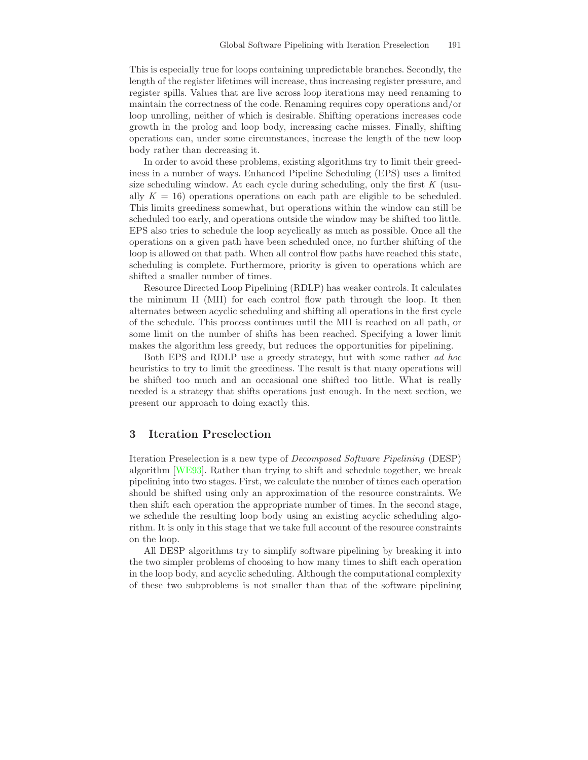<span id="page-2-1"></span>This is especially true for loops containing unpredictable branches. Secondly, the length of the register lifetimes will increase, thus increasing register pressure, and register spills. Values that are live across loop iterations may need renaming to maintain the correctness of the code. Renaming requires copy operations and/or loop unrolling, neither of which is desirable. Shifting operations increases code growth in the prolog and loop body, increasing cache misses. Finally, shifting operations can, under some circumstances, increase the length of the new loop body rather than decreasing it.

In order to avoid these problems, existing algorithms try to limit their greediness in a number of ways. Enhanced Pipeline Scheduling (EPS) uses a limited size scheduling window. At each cycle during scheduling, only the first *K* (usually  $K = 16$ ) operations operations on each path are eligible to be scheduled. This limits greediness somewhat, but operations within the window can still be scheduled too early, and operations outside the window may be shifted too little. EPS also tries to schedule the loop acyclically as much as possible. Once all the operations on a given path have been scheduled once, no further shifting of the loop is allowed on that path. When all control flow paths have reached this state, scheduling is complete. Furthermore, priority is given to operations which are shifted a smaller number of times.

Resource Directed Loop Pipelining (RDLP) has weaker controls. It calculates the minimum II (MII) for each control flow path through the loop. It then alternates between acyclic scheduling and shifting all operations in the first cycle of the schedule. This process continues until the MII is reached on all path, or some limit on the number of shifts has been reached. Specifying a lower limit makes the algorithm less greedy, but reduces the opportunities for pipelining.

Both EPS and RDLP use a greedy strategy, but with some rather *ad hoc* heuristics to try to limit the greediness. The result is that many operations will be shifted too much and an occasional one shifted too little. What is really needed is a strategy that shifts operations just enough. In the next section, we present our approach to doing exactly this.

#### <span id="page-2-0"></span>**3 Iteration Preselection**

Iteration Preselection is a new type of *Decomposed Software Pipelining* (DESP) algorithm [\[WE93\]](#page-12-9). Rather than trying to shift and schedule together, we break pipelining into two stages. First, we calculate the number of times each operation should be shifted using only an approximation of the resource constraints. We then shift each operation the appropriate number of times. In the second stage, we schedule the resulting loop body using an existing acyclic scheduling algorithm. It is only in this stage that we take full account of the resource constraints on the loop.

All DESP algorithms try to simplify software pipelining by breaking it into the two simpler problems of choosing to how many times to shift each operation in the loop body, and acyclic scheduling. Although the computational complexity of these two subproblems is not smaller than that of the software pipelining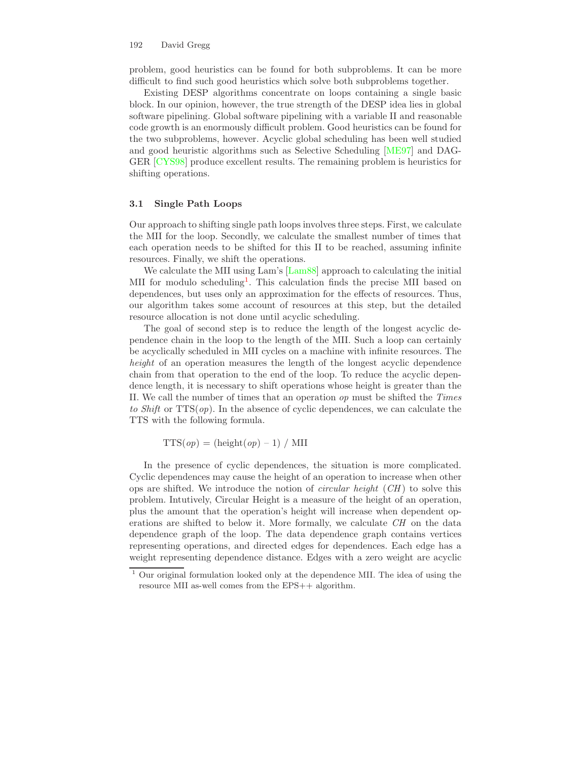<span id="page-3-2"></span><span id="page-3-1"></span>problem, good heuristics can be found for both subproblems. It can be more difficult to find such good heuristics which solve both subproblems together.

Existing DESP algorithms concentrate on loops containing a single basic block. In our opinion, however, the true strength of the DESP idea lies in global software pipelining. Global software pipelining with a variable II and reasonable code growth is an enormously difficult problem. Good heuristics can be found for the two subproblems, however. Acyclic global scheduling has been well studied and good heuristic algorithms such as Selective Scheduling [\[ME97\]](#page-12-6) and DAG-GER [\[CYS98\]](#page-11-0) produce excellent results. The remaining problem is heuristics for shifting operations.

#### **3.1 Single Path Loops**

Our approach to shifting single path loops involves three steps. First, we calculate the MII for the loop. Secondly, we calculate the smallest number of times that each operation needs to be shifted for this II to be reached, assuming infinite resources. Finally, we shift the operations.

We calculate the MII using Lam's [\[Lam88\]](#page-12-10) approach to calculating the initial MII for modulo scheduling<sup>[1](#page-3-0)</sup>. This calculation finds the precise MII based on dependences, but uses only an approximation for the effects of resources. Thus, our algorithm takes some account of resources at this step, but the detailed resource allocation is not done until acyclic scheduling.

<span id="page-3-0"></span>The goal of second step is to reduce the length of the longest acyclic dependence chain in the loop to the length of the MII. Such a loop can certainly be acyclically scheduled in MII cycles on a machine with infinite resources. The *height* of an operation measures the length of the longest acyclic dependence chain from that operation to the end of the loop. To reduce the acyclic dependence length, it is necessary to shift operations whose height is greater than the II. We call the number of times that an operation *op* must be shifted the *Times to Shift* or TTS(*op*). In the absence of cyclic dependences, we can calculate the TTS with the following formula.

 $TTS(op) = (height(op) - 1) / MII$ 

In the presence of cyclic dependences, the situation is more complicated. Cyclic dependences may cause the height of an operation to increase when other ops are shifted. We introduce the notion of *circular height* (*CH* ) to solve this problem. Intutively, Circular Height is a measure of the height of an operation, plus the amount that the operation's height will increase when dependent operations are shifted to below it. More formally, we calculate *CH* on the data dependence graph of the loop. The data dependence graph contains vertices representing operations, and directed edges for dependences. Each edge has a weight representing dependence distance. Edges with a zero weight are acyclic

 $1$  Our original formulation looked only at the dependence MII. The idea of using the resource MII as-well comes from the EPS++ algorithm.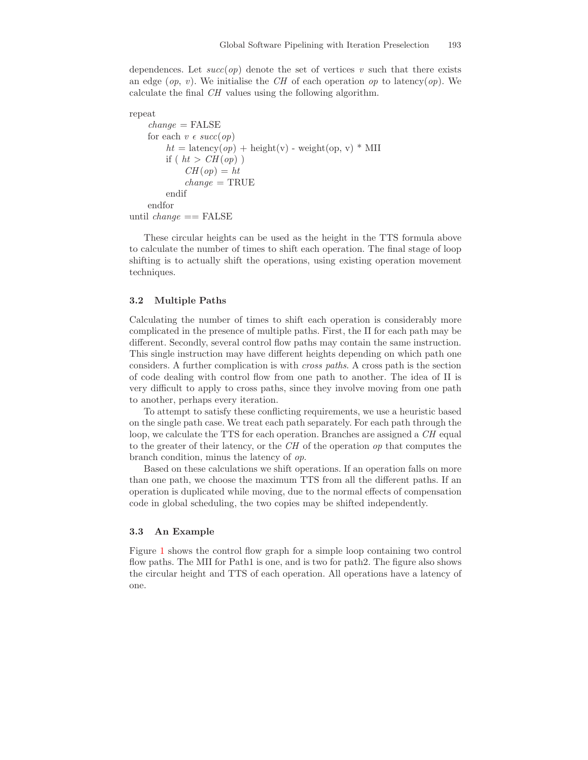dependences. Let  $succ(op)$  denote the set of vertices  $v$  such that there exists an edge  $(op, v)$ . We initialise the *CH* of each operation *op* to latency $(op)$ . We calculate the final *CH* values using the following algorithm.

```
repeat
    change = FALSEfor each v \in succ(op)ht = \text{latency}(op) + \text{height}(v) - weight(op, v) * MII
        if (ht > CH(op))CH(op) = htchange = TRUE
        endif
    endfor
until change == FALSE
```
These circular heights can be used as the height in the TTS formula above to calculate the number of times to shift each operation. The final stage of loop shifting is to actually shift the operations, using existing operation movement techniques.

#### **3.2 Multiple Paths**

Calculating the number of times to shift each operation is considerably more complicated in the presence of multiple paths. First, the II for each path may be different. Secondly, several control flow paths may contain the same instruction. This single instruction may have different heights depending on which path one considers. A further complication is with *cross paths*. A cross path is the section of code dealing with control flow from one path to another. The idea of II is very difficult to apply to cross paths, since they involve moving from one path to another, perhaps every iteration.

To attempt to satisfy these conflicting requirements, we use a heuristic based on the single path case. We treat each path separately. For each path through the loop, we calculate the TTS for each operation. Branches are assigned a *CH* equal to the greater of their latency, or the *CH* of the operation *op* that computes the branch condition, minus the latency of *op*.

Based on these calculations we shift operations. If an operation falls on more than one path, we choose the maximum TTS from all the different paths. If an operation is duplicated while moving, due to the normal effects of compensation code in global scheduling, the two copies may be shifted independently.

#### **3.3 An Example**

Figure [1](#page-5-0) shows the control flow graph for a simple loop containing two control flow paths. The MII for Path1 is one, and is two for path2. The figure also shows the circular height and TTS of each operation. All operations have a latency of one.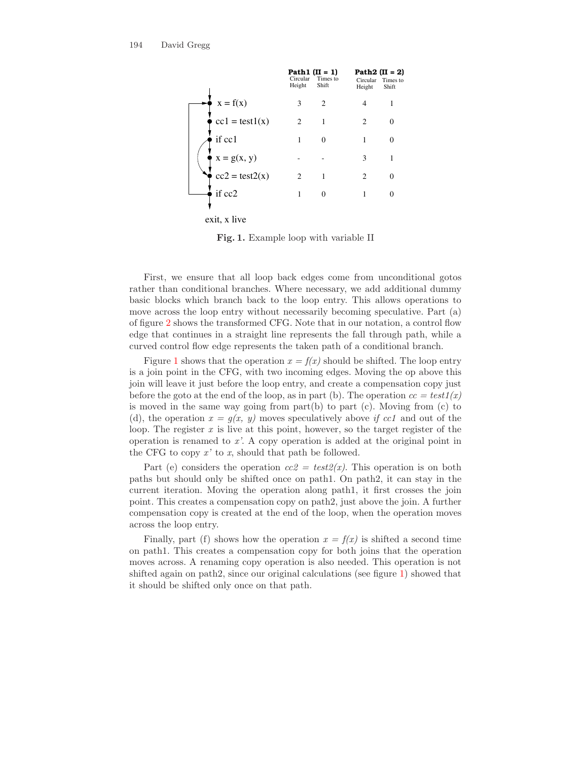<span id="page-5-1"></span><span id="page-5-0"></span>

|                  | Circular<br>Height | Path $(II = 1)$<br>Times to<br>Shift | Path $2$ (II = 2)<br>Circular<br>Height | Times to<br>Shift |
|------------------|--------------------|--------------------------------------|-----------------------------------------|-------------------|
| $x = f(x)$       | 3                  | $\mathfrak{D}$                       |                                         |                   |
| $cc1 = test1(x)$ | $\overline{c}$     | 1                                    | $\overline{c}$                          |                   |
| if cc1           |                    | $\Omega$                             |                                         |                   |
| $x = g(x, y)$    |                    |                                      | 3                                       |                   |
| $cc2 = test2(x)$ | 2                  | 1                                    | 2                                       |                   |
| if cc2           | 1                  | $\Omega$                             |                                         |                   |

exit, x live

**Fig. 1.** Example loop with variable II

First, we ensure that all loop back edges come from unconditional gotos rather than conditional branches. Where necessary, we add additional dummy basic blocks which branch back to the loop entry. This allows operations to move across the loop entry without necessarily becoming speculative. Part (a) of figure [2](#page-6-0) shows the transformed CFG. Note that in our notation, a control flow edge that continues in a straight line represents the fall through path, while a curved control flow edge represents the taken path of a conditional branch.

Figure [1](#page-5-1) shows that the operation  $x = f(x)$  should be shifted. The loop entry is a join point in the CFG, with two incoming edges. Moving the op above this join will leave it just before the loop entry, and create a compensation copy just before the goto at the end of the loop, as in part (b). The operation  $cc = test1(x)$ is moved in the same way going from  $part(b)$  to part  $(c)$ . Moving from  $(c)$  to (d), the operation  $x = g(x, y)$  moves speculatively above *if cc1* and out of the loop. The register  $x$  is live at this point, however, so the target register of the operation is renamed to *x'*. A copy operation is added at the original point in the CFG to copy  $x'$  to  $x$ , should that path be followed.

Part (e) considers the operation  $cc2 = test2(x)$ . This operation is on both paths but should only be shifted once on path1. On path2, it can stay in the current iteration. Moving the operation along path1, it first crosses the join point. This creates a compensation copy on path2, just above the join. A further compensation copy is created at the end of the loop, when the operation moves across the loop entry.

Finally, part (f) shows how the operation  $x = f(x)$  is shifted a second time on path1. This creates a compensation copy for both joins that the operation moves across. A renaming copy operation is also needed. This operation is not shifted again on path2, since our original calculations (see figure [1\)](#page-5-1) showed that it should be shifted only once on that path.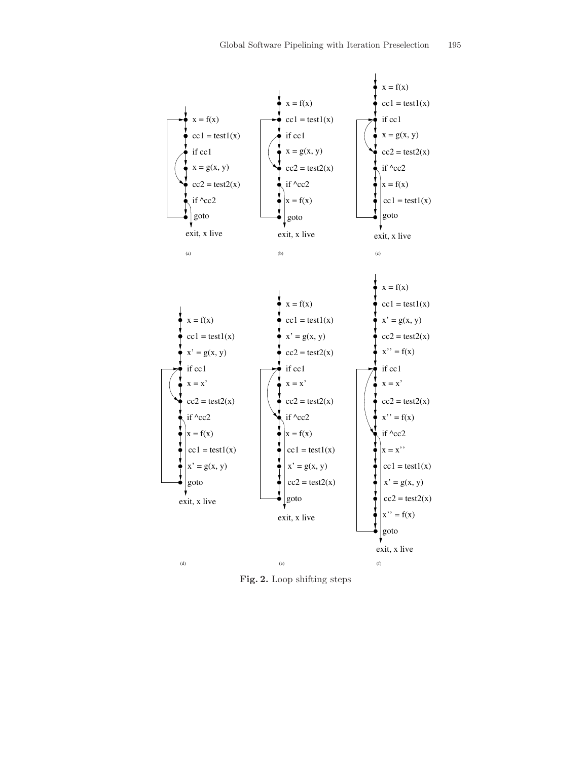

<span id="page-6-0"></span>**Fig. 2.** Loop shifting steps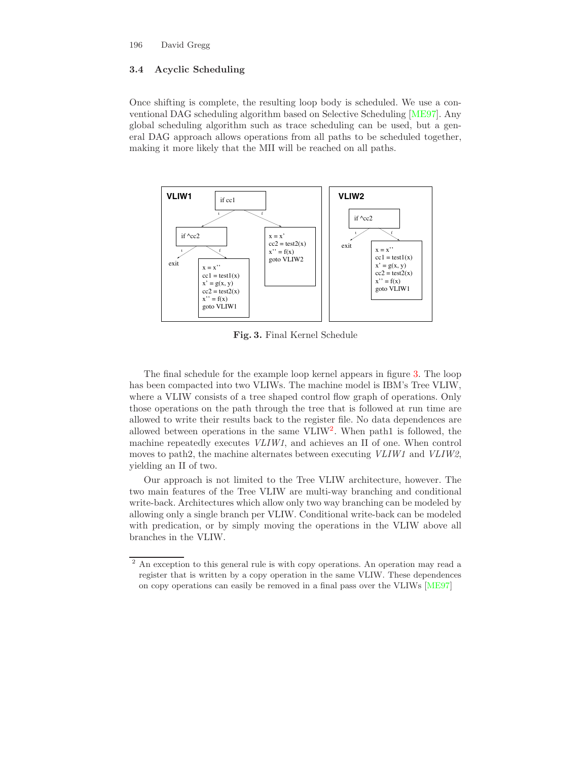#### <span id="page-7-2"></span>**3.4 Acyclic Scheduling**

Once shifting is complete, the resulting loop body is scheduled. We use a conventional DAG scheduling algorithm based on Selective Scheduling [\[ME97\]](#page-12-6). Any global scheduling algorithm such as trace scheduling can be used, but a general DAG approach allows operations from all paths to be scheduled together, making it more likely that the MII will be reached on all paths.

<span id="page-7-0"></span>

**Fig. 3.** Final Kernel Schedule

<span id="page-7-1"></span>The final schedule for the example loop kernel appears in figure [3.](#page-7-0) The loop has been compacted into two VLIWs. The machine model is IBM's Tree VLIW, where a VLIW consists of a tree shaped control flow graph of operations. Only those operations on the path through the tree that is followed at run time are allowed to write their results back to the register file. No data dependences are allowed between operations in the same  $VLIW^2$  $VLIW^2$ . When path1 is followed, the machine repeatedly executes *VLIW1*, and achieves an II of one. When control moves to path2, the machine alternates between executing *VLIW1* and *VLIW2*, yielding an II of two.

Our approach is not limited to the Tree VLIW architecture, however. The two main features of the Tree VLIW are multi-way branching and conditional write-back. Architectures which allow only two way branching can be modeled by allowing only a single branch per VLIW. Conditional write-back can be modeled with predication, or by simply moving the operations in the VLIW above all branches in the VLIW.

<sup>2</sup> An exception to this general rule is with copy operations. An operation may read a register that is written by a copy operation in the same VLIW. These dependences on copy operations can easily be removed in a final pass over the VLIWs [\[ME97\]](#page-12-6)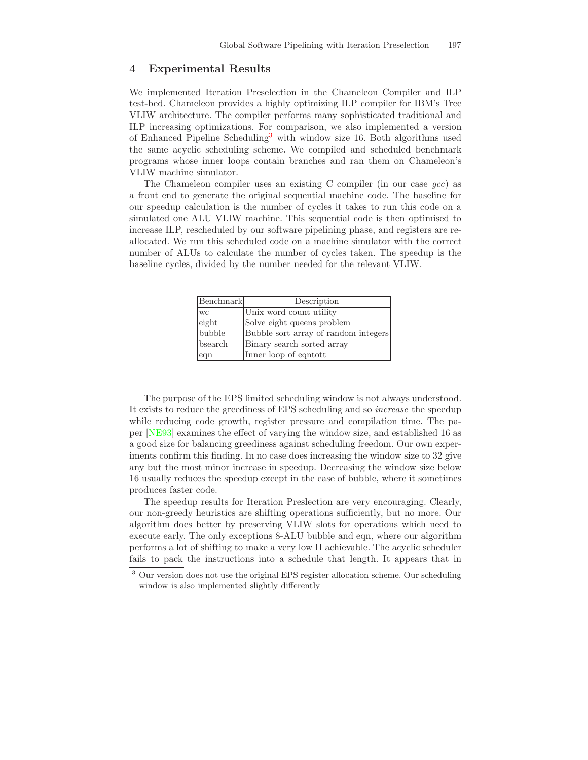#### <span id="page-8-2"></span><span id="page-8-0"></span>**4 Experimental Results**

We implemented Iteration Preselection in the Chameleon Compiler and ILP test-bed. Chameleon provides a highly optimizing ILP compiler for IBM's Tree VLIW architecture. The compiler performs many sophisticated traditional and ILP increasing optimizations. For comparison, we also implemented a version of Enhanced Pipeline Scheduling<sup>[3](#page-8-1)</sup> with window size 16. Both algorithms used the same acyclic scheduling scheme. We compiled and scheduled benchmark programs whose inner loops contain branches and ran them on Chameleon's VLIW machine simulator.

The Chameleon compiler uses an existing C compiler (in our case *gcc*) as a front end to generate the original sequential machine code. The baseline for our speedup calculation is the number of cycles it takes to run this code on a simulated one ALU VLIW machine. This sequential code is then optimised to increase ILP, rescheduled by our software pipelining phase, and registers are reallocated. We run this scheduled code on a machine simulator with the correct number of ALUs to calculate the number of cycles taken. The speedup is the baseline cycles, divided by the number needed for the relevant VLIW.

| Benchmark | Description                          |
|-----------|--------------------------------------|
| $\rm wc$  | Unix word count utility              |
| eight     | Solve eight queens problem           |
| bubble    | Bubble sort array of random integers |
| bsearch   | Binary search sorted array           |
| eqn       | Inner loop of equatott               |

<span id="page-8-1"></span>The purpose of the EPS limited scheduling window is not always understood. It exists to reduce the greediness of EPS scheduling and so *increase* the speedup while reducing code growth, register pressure and compilation time. The paper [\[NE93\]](#page-12-11) examines the effect of varying the window size, and established 16 as a good size for balancing greediness against scheduling freedom. Our own experiments confirm this finding. In no case does increasing the window size to 32 give any but the most minor increase in speedup. Decreasing the window size below 16 usually reduces the speedup except in the case of bubble, where it sometimes produces faster code.

The speedup results for Iteration Preslection are very encouraging. Clearly, our non-greedy heuristics are shifting operations sufficiently, but no more. Our algorithm does better by preserving VLIW slots for operations which need to execute early. The only exceptions 8-ALU bubble and eqn, where our algorithm performs a lot of shifting to make a very low II achievable. The acyclic scheduler fails to pack the instructions into a schedule that length. It appears that in

<sup>3</sup> Our version does not use the original EPS register allocation scheme. Our scheduling window is also implemented slightly differently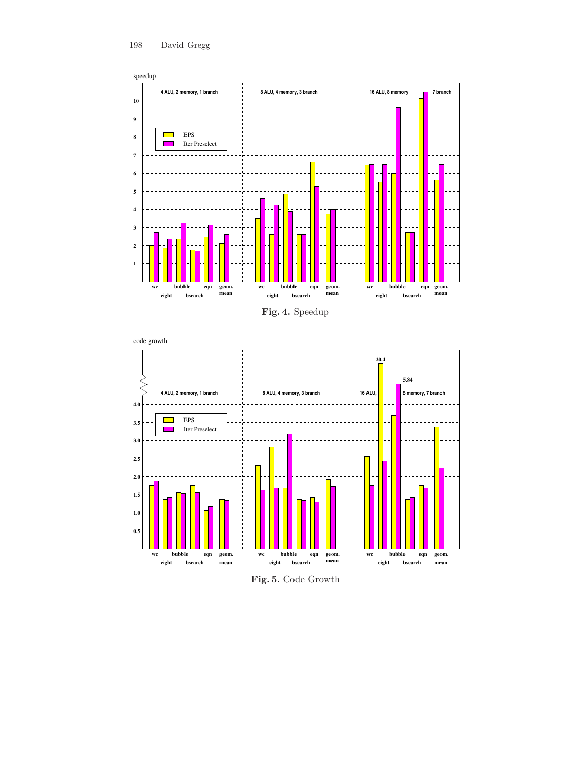

**Fig. 4.** Speedup





**Fig. 5.** Code Growth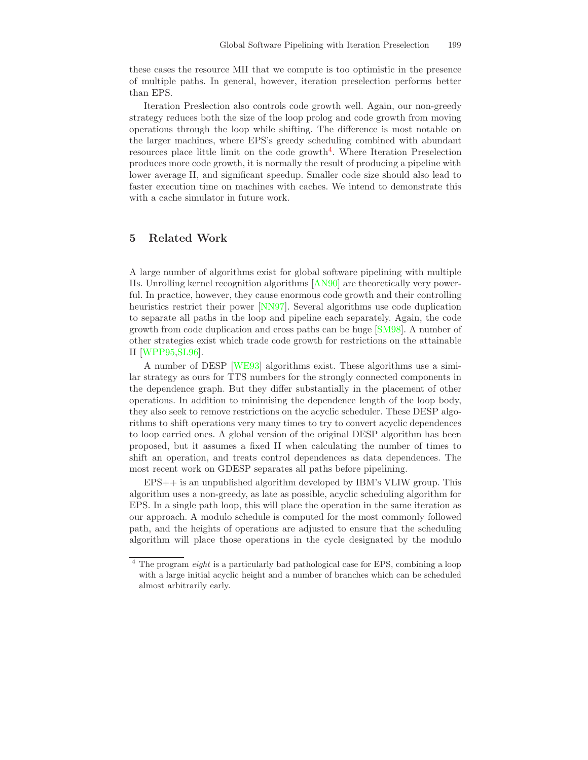<span id="page-10-3"></span><span id="page-10-2"></span>these cases the resource MII that we compute is too optimistic in the presence of multiple paths. In general, however, iteration preselection performs better than EPS.

Iteration Preslection also controls code growth well. Again, our non-greedy strategy reduces both the size of the loop prolog and code growth from moving operations through the loop while shifting. The difference is most notable on the larger machines, where EPS's greedy scheduling combined with abundant resources place little limit on the code growth[4](#page-10-1). Where Iteration Preselection produces more code growth, it is normally the result of producing a pipeline with lower average II, and significant speedup. Smaller code size should also lead to faster execution time on machines with caches. We intend to demonstrate this with a cache simulator in future work.

### <span id="page-10-0"></span>**5 Related Work**

A large number of algorithms exist for global software pipelining with multiple IIs. Unrolling kernel recognition algorithms [\[AN90\]](#page-11-1) are theoretically very powerful. In practice, however, they cause enormous code growth and their controlling heuristics restrict their power [\[NN97\]](#page-12-1). Several algorithms use code duplication to separate all paths in the loop and pipeline each separately. Again, the code growth from code duplication and cross paths can be huge [\[SM98\]](#page-12-12). A number of other strategies exist which trade code growth for restrictions on the attainable II [\[WPP95,](#page-12-13)[SL96\]](#page-12-14).

<span id="page-10-1"></span>A number of DESP [\[WE93\]](#page-12-9) algorithms exist. These algorithms use a similar strategy as ours for TTS numbers for the strongly connected components in the dependence graph. But they differ substantially in the placement of other operations. In addition to minimising the dependence length of the loop body, they also seek to remove restrictions on the acyclic scheduler. These DESP algorithms to shift operations very many times to try to convert acyclic dependences to loop carried ones. A global version of the original DESP algorithm has been proposed, but it assumes a fixed II when calculating the number of times to shift an operation, and treats control dependences as data dependences. The most recent work on GDESP separates all paths before pipelining.

EPS++ is an unpublished algorithm developed by IBM's VLIW group. This algorithm uses a non-greedy, as late as possible, acyclic scheduling algorithm for EPS. In a single path loop, this will place the operation in the same iteration as our approach. A modulo schedule is computed for the most commonly followed path, and the heights of operations are adjusted to ensure that the scheduling algorithm will place those operations in the cycle designated by the modulo

<sup>4</sup> The program *eight* is a particularly bad pathological case for EPS, combining a loop with a large initial acyclic height and a number of branches which can be scheduled almost arbitrarily early.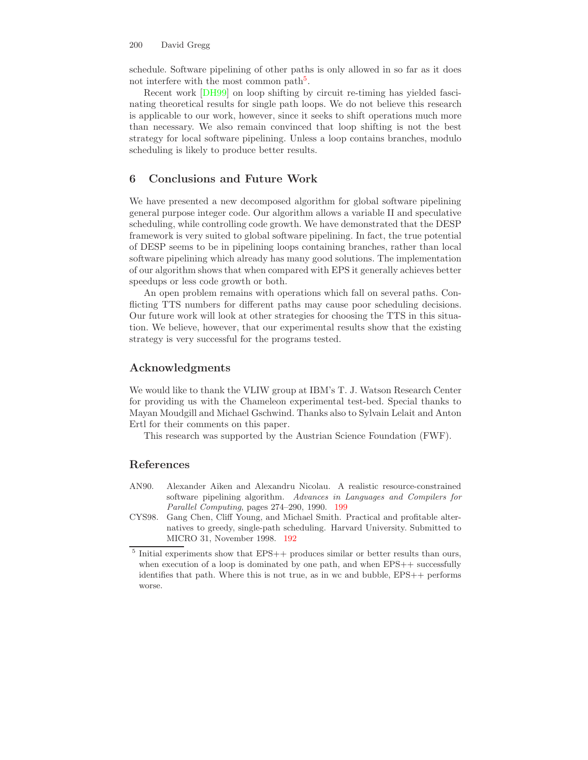<span id="page-11-3"></span>schedule. Software pipelining of other paths is only allowed in so far as it does not interfere with the most common path<sup>[5](#page-11-2)</sup>.

Recent work [\[DH99\]](#page-12-15) on loop shifting by circuit re-timing has yielded fascinating theoretical results for single path loops. We do not believe this research is applicable to our work, however, since it seeks to shift operations much more than necessary. We also remain convinced that loop shifting is not the best strategy for local software pipelining. Unless a loop contains branches, modulo scheduling is likely to produce better results.

## **6 Conclusions and Future Work**

We have presented a new decomposed algorithm for global software pipelining general purpose integer code. Our algorithm allows a variable II and speculative scheduling, while controlling code growth. We have demonstrated that the DESP framework is very suited to global software pipelining. In fact, the true potential of DESP seems to be in pipelining loops containing branches, rather than local software pipelining which already has many good solutions. The implementation of our algorithm shows that when compared with EPS it generally achieves better speedups or less code growth or both.

An open problem remains with operations which fall on several paths. Conflicting TTS numbers for different paths may cause poor scheduling decisions. Our future work will look at other strategies for choosing the TTS in this situation. We believe, however, that our experimental results show that the existing strategy is very successful for the programs tested.

## <span id="page-11-2"></span>**Acknowledgments**

We would like to thank the VLIW group at IBM's T. J. Watson Research Center for providing us with the Chameleon experimental test-bed. Special thanks to Mayan Moudgill and Michael Gschwind. Thanks also to Sylvain Lelait and Anton Ertl for their comments on this paper.

This research was supported by the Austrian Science Foundation (FWF).

## <span id="page-11-1"></span>**References**

- <span id="page-11-0"></span>AN90. Alexander Aiken and Alexandru Nicolau. A realistic resource-constrained software pipelining algorithm. *Advances in Languages and Compilers for Parallel Computing*, pages 274–290, 1990. [199](#page-10-2)
- CYS98. Gang Chen, Cliff Young, and Michael Smith. Practical and profitable alternatives to greedy, single-path scheduling. Harvard University. Submitted to MICRO 31, November 1998. [192](#page-3-1)

Initial experiments show that EPS++ produces similar or better results than ours, when execution of a loop is dominated by one path, and when  $EPS++$  successfully identifies that path. Where this is not true, as in wc and bubble, EPS++ performs worse.